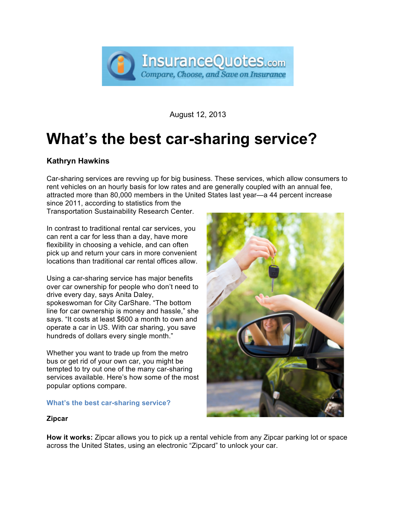

August 12, 2013

# **What's the best car-sharing service?**

# **Kathryn Hawkins**

Car-sharing services are revving up for big business. These services, which allow consumers to rent vehicles on an hourly basis for low rates and are generally coupled with an annual fee, attracted more than 80,000 members in the United States last year—a 44 percent increase

since 2011, according to statistics from the Transportation Sustainability Research Center.

In contrast to traditional rental car services, you can rent a car for less than a day, have more flexibility in choosing a vehicle, and can often pick up and return your cars in more convenient locations than traditional car rental offices allow.

Using a car-sharing service has major benefits over car ownership for people who don't need to drive every day, says Anita Daley, spokeswoman for City CarShare. "The bottom line for car ownership is money and hassle," she says. "It costs at least \$600 a month to own and operate a car in US. With car sharing, you save hundreds of dollars every single month."

Whether you want to trade up from the metro bus or get rid of your own car, you might be tempted to try out one of the many car-sharing services available. Here's how some of the most popular options compare.

# **What's the best car-sharing service?**



# **Zipcar**

**How it works:** Zipcar allows you to pick up a rental vehicle from any Zipcar parking lot or space across the United States, using an electronic "Zipcard" to unlock your car.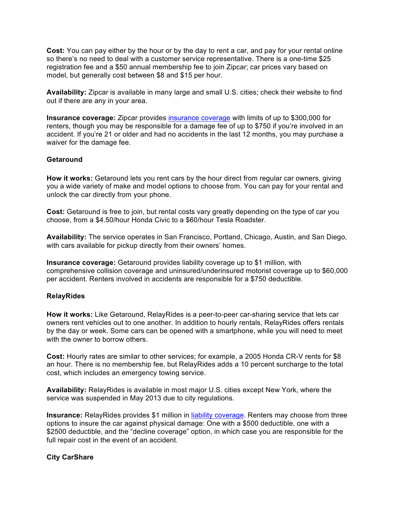**Cost:** You can pay either by the hour or by the day to rent a car, and pay for your rental online so there's no need to deal with a customer service representative. There is a one-time \$25 registration fee and a \$50 annual membership fee to join Zipcar; car prices vary based on model, but generally cost between \$8 and \$15 per hour.

**Availability:** Zipcar is available in many large and small U.S. cities; check their website to find out if there are any in your area.

**Insurance coverage:** Zipcar provides [insurance coverage](http://www.insurancequotes.com/auto-insurance-quotes) with limits of up to \$300,000 for renters, though you may be responsible for a damage fee of up to \$750 if you're involved in an accident. If you're 21 or older and had no accidents in the last 12 months, you may purchase a waiver for the damage fee.

### **Getaround**

**How it works:** Getaround lets you rent cars by the hour direct from regular car owners, giving you a wide variety of make and model options to choose from. You can pay for your rental and unlock the car directly from your phone.

**Cost:** Getaround is free to join, but rental costs vary greatly depending on the type of car you choose, from a \$4.50/hour Honda Civic to a \$60/hour Tesla Roadster.

**Availability:** The service operates in San Francisco, Portland, Chicago, Austin, and San Diego, with cars available for pickup directly from their owners' homes.

**Insurance coverage:** Getaround provides liability coverage up to \$1 million, with comprehensive collision coverage and uninsured/underinsured motorist coverage up to \$60,000 per accident. Renters involved in accidents are responsible for a \$750 deductible.

#### **RelayRides**

**How it works:** Like Getaround, RelayRides is a peer-to-peer car-sharing service that lets car owners rent vehicles out to one another. In addition to hourly rentals, RelayRides offers rentals by the day or week. Some cars can be opened with a smartphone, while you will need to meet with the owner to borrow others.

**Cost:** Hourly rates are similar to other services; for example, a 2005 Honda CR-V rents for \$8 an hour. There is no membership fee, but RelayRides adds a 10 percent surcharge to the total cost, which includes an emergency towing service.

**Availability:** RelayRides is available in most major U.S. cities except New York, where the service was suspended in May 2013 due to city regulations.

**Insurance:** RelayRides provides \$1 million in [liability coverage.](http://www.insurancequotes.com/auto/auto-insurance-liability-states) Renters may choose from three options to insure the car against physical damage: One with a \$500 deductible, one with a \$2500 deductible, and the "decline coverage" option, in which case you are responsible for the full repair cost in the event of an accident.

#### **City CarShare**